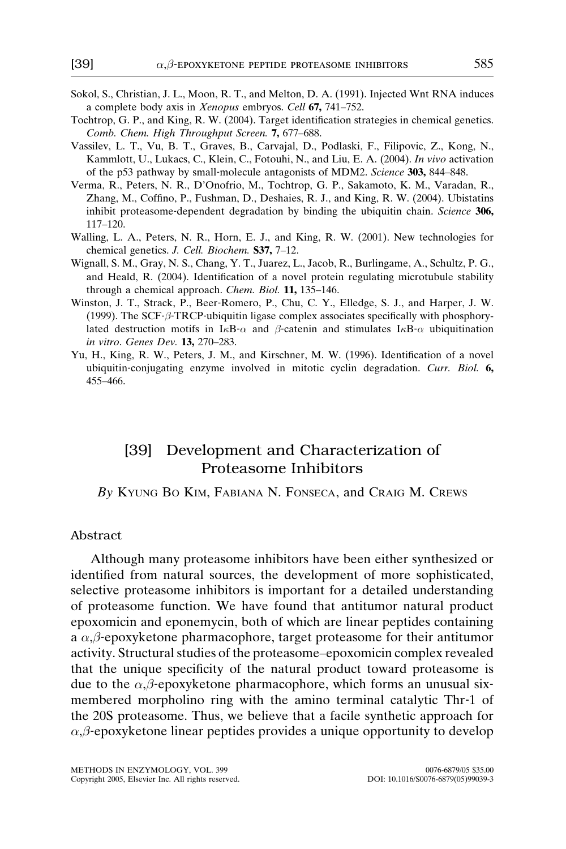- Sokol, S., Christian, J. L., Moon, R. T., and Melton, D. A. (1991). Injected Wnt RNA induces a complete body axis in Xenopus embryos. Cell 67, 741–752.
- Tochtrop, G. P., and King, R. W. (2004). Target identification strategies in chemical genetics. Comb. Chem. High Throughput Screen. 7, 677–688.
- Vassilev, L. T., Vu, B. T., Graves, B., Carvajal, D., Podlaski, F., Filipovic, Z., Kong, N., Kammlott, U., Lukacs, C., Klein, C., Fotouhi, N., and Liu, E. A. (2004). In vivo activation of the p53 pathway by small‐molecule antagonists of MDM2. Science 303, 844–848.
- Verma, R., Peters, N. R., D'Onofrio, M., Tochtrop, G. P., Sakamoto, K. M., Varadan, R., Zhang, M., Coffino, P., Fushman, D., Deshaies, R. J., and King, R. W. (2004). Ubistatins inhibit proteasome-dependent degradation by binding the ubiquitin chain. Science 306, 117–120.
- Walling, L. A., Peters, N. R., Horn, E. J., and King, R. W. (2001). New technologies for chemical genetics. J. Cell. Biochem. S37, 7–12.
- Wignall, S. M., Gray, N. S., Chang, Y. T., Juarez, L., Jacob, R., Burlingame, A., Schultz, P. G., and Heald, R. (2004). Identification of a novel protein regulating microtubule stability through a chemical approach. Chem. Biol. 11, 135-146.
- Winston, J. T., Strack, P., Beer‐Romero, P., Chu, C. Y., Elledge, S. J., and Harper, J. W.  $(1999)$ . The SCF- $\beta$ -TRCP-ubiquitin ligase complex associates specifically with phosphorylated destruction motifs in I<sub>K</sub>B- $\alpha$  and  $\beta$ -catenin and stimulates I<sub>K</sub>B- $\alpha$  ubiquitination in vitro. Genes Dev. 13, 270–283.
- Yu, H., King, R. W., Peters, J. M., and Kirschner, M. W. (1996). Identification of a novel ubiquitin-conjugating enzyme involved in mitotic cyclin degradation. Curr. Biol. 6, 455–466.

## [39] Development and Characterization of Proteasome Inhibitors

By KYUNG BO KIM, FABIANA N. FONSECA, and CRAIG M. CREWS

#### Abstract

Although many proteasome inhibitors have been either synthesized or identified from natural sources, the development of more sophisticated, selective proteasome inhibitors is important for a detailed understanding of proteasome function. We have found that antitumor natural product epoxomicin and eponemycin, both of which are linear peptides containing a  $\alpha$ , $\beta$ -epoxyketone pharmacophore, target proteasome for their antitumor activity. Structural studies of the proteasome–epoxomicin complex revealed that the unique specificity of the natural product toward proteasome is due to the  $\alpha, \beta$ -epoxyketone pharmacophore, which forms an unusual sixmembered morpholino ring with the amino terminal catalytic Thr-1 of the 20S proteasome. Thus, we believe that a facile synthetic approach for  $\alpha$ , $\beta$ -epoxyketone linear peptides provides a unique opportunity to develop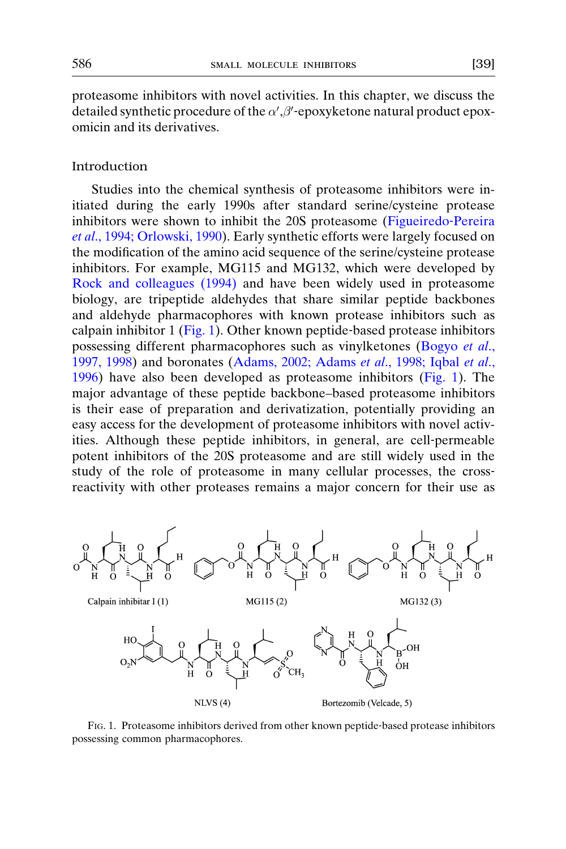proteasome inhibitors with novel activities. In this chapter, we discuss the detailed synthetic procedure of the  $\alpha'$ ,  $\beta'$ -epoxyketone natural product epoxomicin and its derivatives.

## Introduction

Studies into the chemical synthesis of proteasome inhibitors were initiated during the early 1990s after standard serine/cysteine protease inhibitors were shown to inhibit the 20S proteasome ([Figueiredo](#page-22-0)‐Pereira et al[., 1994; Orlowski, 1990](#page-22-0)). Early synthetic efforts were largely focused on the modification of the amino acid sequence of the serine/cysteine protease inhibitors. For example, MG115 and MG132, which were developed by [Rock and colleagues \(1994\)](#page-24-0) and have been widely used in proteasome biology, are tripeptide aldehydes that share similar peptide backbones and aldehyde pharmacophores with known protease inhibitors such as calpain inhibitor 1 (Fig. 1). Other known peptide-based protease inhibitors possessing different pharmacophores such as vinylketones [\(Bogyo](#page-22-0) et al., [1997, 1998\)](#page-22-0) and boronates ([Adams, 2002; Adams](#page-22-0) et al., 1998; Iqbal et al., [1996\)](#page-22-0) have also been developed as proteasome inhibitors (Fig. 1). The major advantage of these peptide backbone–based proteasome inhibitors is their ease of preparation and derivatization, potentially providing an easy access for the development of proteasome inhibitors with novel activities. Although these peptide inhibitors, in general, are cell‐permeable potent inhibitors of the 20S proteasome and are still widely used in the study of the role of proteasome in many cellular processes, the crossreactivity with other proteases remains a major concern for their use as



FIG. 1. Proteasome inhibitors derived from other known peptide‐based protease inhibitors possessing common pharmacophores.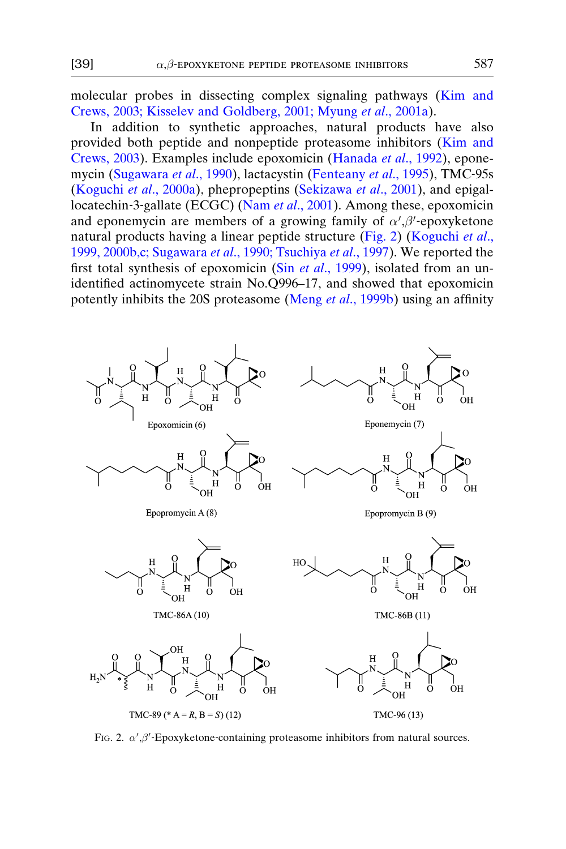molecular probes in dissecting complex signaling pathways [\(Kim and](#page-23-0) [Crews, 2003; Kisselev and Goldberg, 2001; Myung](#page-23-0) et al., 2001a).

In addition to synthetic approaches, natural products have also provided both peptide and nonpeptide proteasome inhibitors [\(Kim and](#page-23-0) [Crews, 2003\)](#page-23-0). Examples include epoxomicin ([Hanada](#page-22-0) et al., 1992), epone-mycin ([Sugawara](#page-24-0) et al., 1990), lactacystin [\(Fenteany](#page-22-0) et al., 1995), TMC-95s ([Koguchi](#page-23-0) et al., 2000a), phepropeptins [\(Sekizawa](#page-24-0) et al., 2001), and epigallocatechin‐3‐gallate (ECGC) (Nam et al[., 2001](#page-23-0)). Among these, epoxomicin and eponemycin are members of a growing family of  $\alpha', \beta'$ -epoxyketone natural products having a linear peptide structure (Fig. 2) ([Koguchi](#page-23-0) et al., [1999, 2000b,c; Sugawara](#page-23-0) et al., 1990; Tsuchiya et al., 1997). We reported the first total synthesis of epoxomicin (Sin et al[., 1999](#page-24-0)), isolated from an unidentified actinomycete strain No.Q996–17, and showed that epoxomicin potently inhibits the 20S proteasome (Meng et al[., 1999b](#page-23-0)) using an affinity



FIG. 2.  $\alpha', \beta'$ -Epoxyketone-containing proteasome inhibitors from natural sources.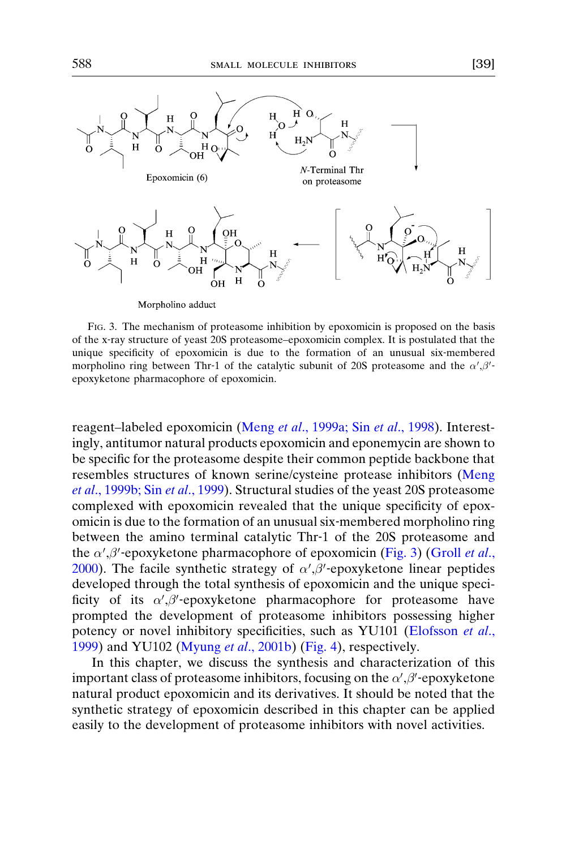

Morpholino adduct

FIG. 3. The mechanism of proteasome inhibition by epoxomicin is proposed on the basis of the x‐ray structure of yeast 20S proteasome–epoxomicin complex. It is postulated that the unique specificity of epoxomicin is due to the formation of an unusual six-membered morpholino ring between Thr-1 of the catalytic subunit of 20S proteasome and the  $\alpha'$ ,  $\beta'$ epoxyketone pharmacophore of epoxomicin.

reagent–labeled epoxomicin (Meng et al[., 1999a; Sin](#page-23-0) et al., 1998). Interestingly, antitumor natural products epoxomicin and eponemycin are shown to be specific for the proteasome despite their common peptide backbone that resembles structures of known serine/cysteine protease inhibitors ([Meng](#page-23-0) et al[., 1999b; Sin](#page-23-0) et al., 1999). Structural studies of the yeast 20S proteasome complexed with epoxomicin revealed that the unique specificity of epoxomicin is due to the formation of an unusual six‐membered morpholino ring between the amino terminal catalytic Thr‐1 of the 20S proteasome and the  $\alpha'$ ,  $\beta'$ -epoxyketone pharmacophore of epoxomicin (Fig. 3) ([Groll](#page-22-0) et al., [2000\)](#page-22-0). The facile synthetic strategy of  $\alpha', \beta'$ -epoxyketone linear peptides developed through the total synthesis of epoxomicin and the unique specificity of its  $\alpha', \beta'$ -epoxyketone pharmacophore for proteasome have prompted the development of proteasome inhibitors possessing higher potency or novel inhibitory specificities, such as YU101 [\(Elofsson](#page-22-0) et al., [1999\)](#page-22-0) and YU102 (Myung et al[., 2001b\)](#page-23-0) ([Fig. 4](#page-4-0)), respectively.

In this chapter, we discuss the synthesis and characterization of this important class of proteasome inhibitors, focusing on the  $\alpha', \beta'$ -epoxyketone natural product epoxomicin and its derivatives. It should be noted that the synthetic strategy of epoxomicin described in this chapter can be applied easily to the development of proteasome inhibitors with novel activities.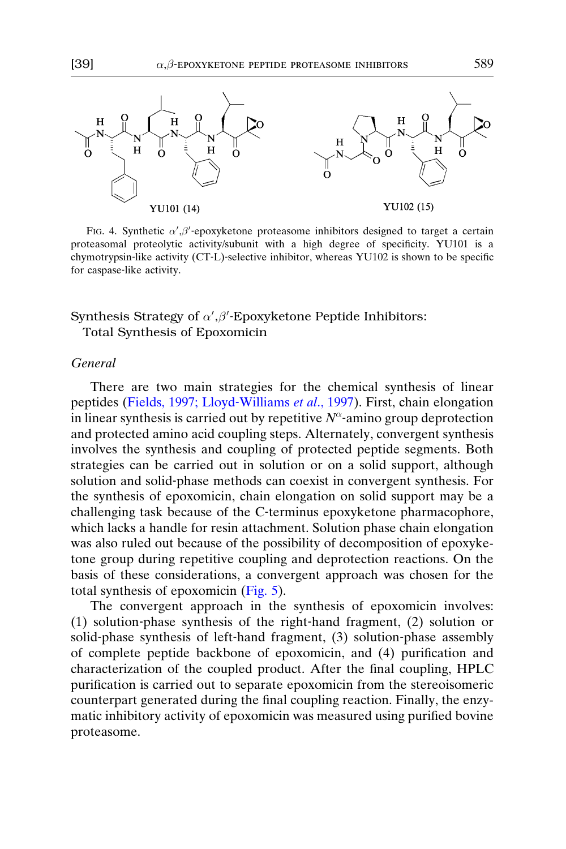<span id="page-4-0"></span>

FIG. 4. Synthetic  $\alpha'$ ,  $\beta'$ -epoxyketone proteasome inhibitors designed to target a certain proteasomal proteolytic activity/subunit with a high degree of specificity. YU101 is a chymotrypsin‐like activity (CT‐L)‐selective inhibitor, whereas YU102 is shown to be specific for caspase‐like activity.

# Synthesis Strategy of  $\alpha', \beta'$ -Epoxyketone Peptide Inhibitors:

Total Synthesis of Epoxomicin

## General

There are two main strategies for the chemical synthesis of linear peptides [\(Fields, 1997; Lloyd](#page-22-0)-Williams et al., 1997). First, chain elongation in linear synthesis is carried out by repetitive  $N^{\alpha}$ -amino group deprotection and protected amino acid coupling steps. Alternately, convergent synthesis involves the synthesis and coupling of protected peptide segments. Both strategies can be carried out in solution or on a solid support, although solution and solid‐phase methods can coexist in convergent synthesis. For the synthesis of epoxomicin, chain elongation on solid support may be a challenging task because of the C-terminus epoxyketone pharmacophore, which lacks a handle for resin attachment. Solution phase chain elongation was also ruled out because of the possibility of decomposition of epoxyketone group during repetitive coupling and deprotection reactions. On the basis of these considerations, a convergent approach was chosen for the total synthesis of epoxomicin ([Fig. 5](#page-5-0)).

The convergent approach in the synthesis of epoxomicin involves: (1) solution‐phase synthesis of the right‐hand fragment, (2) solution or solid-phase synthesis of left-hand fragment, (3) solution-phase assembly of complete peptide backbone of epoxomicin, and (4) purification and characterization of the coupled product. After the final coupling, HPLC purification is carried out to separate epoxomicin from the stereoisomeric counterpart generated during the final coupling reaction. Finally, the enzymatic inhibitory activity of epoxomicin was measured using purified bovine proteasome.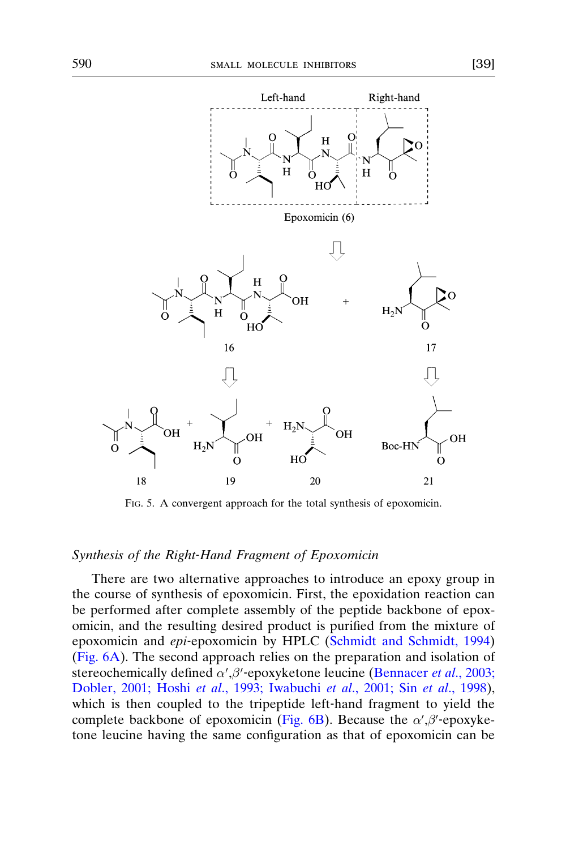<span id="page-5-0"></span>

18 19 20 21 FIG. 5. A convergent approach for the total synthesis of epoxomicin.

HC

## Synthesis of the Right‐Hand Fragment of Epoxomicin

 $\overline{O}$ 

There are two alternative approaches to introduce an epoxy group in the course of synthesis of epoxomicin. First, the epoxidation reaction can be performed after complete assembly of the peptide backbone of epoxomicin, and the resulting desired product is purified from the mixture of epoxomicin and epi-epoxomicin by HPLC ([Schmidt and Schmidt, 1994\)](#page-24-0) ([Fig. 6A\)](#page-6-0). The second approach relies on the preparation and isolation of stereochemically defined  $\alpha', \beta'$ -epoxyketone leucine [\(Bennacer](#page-22-0) et al., 2003; [Dobler, 2001; Hoshi](#page-22-0) et al., 1993; Iwabuchi et al., 2001; Sin et al., 1998), which is then coupled to the tripeptide left-hand fragment to yield the complete backbone of epoxomicin [\(Fig. 6B\)](#page-6-0). Because the  $\alpha', \beta'$ -epoxyketone leucine having the same configuration as that of epoxomicin can be

о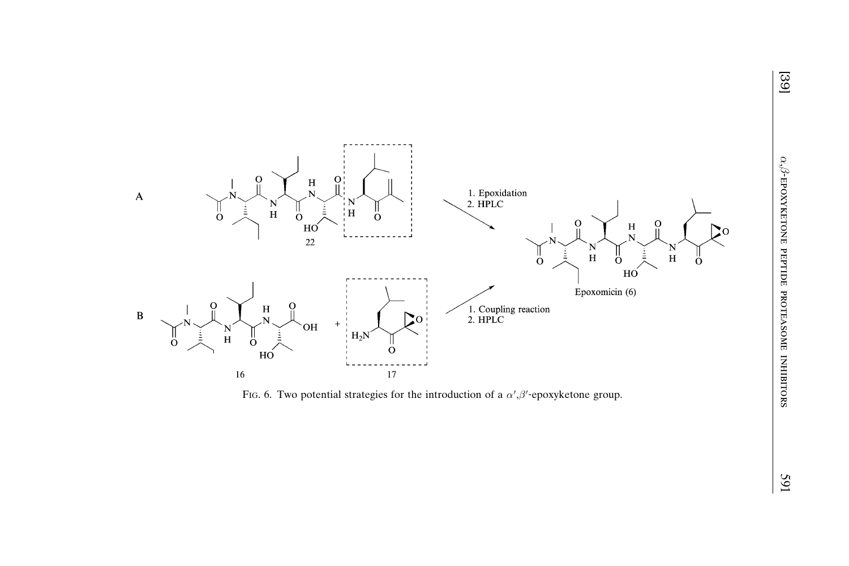<span id="page-6-0"></span>

FIG. 6. Two potential strategies for the introduction of a  $\alpha', \beta'$ -epoxyketone group.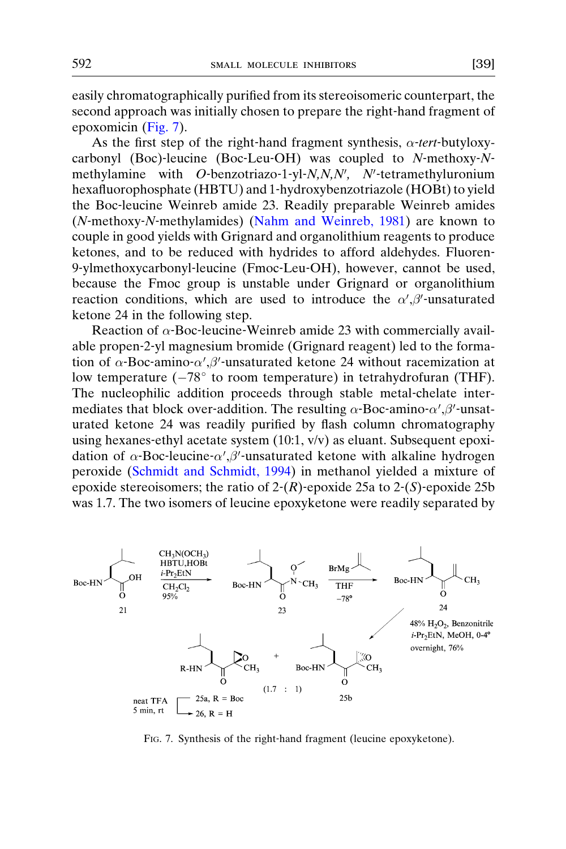easily chromatographically purified from its stereoisomeric counterpart, the second approach was initially chosen to prepare the right‐hand fragment of epoxomicin (Fig. 7).

As the first step of the right-hand fragment synthesis,  $\alpha$ -tert-butyloxycarbonyl (Boc)-leucine (Boc-Leu-OH) was coupled to N-methoxy-Nmethylamine with  $O$ -benzotriazo-1-yl-N,N,N', N'-tetramethyluronium hexafluorophosphate (HBTU) and 1‐hydroxybenzotriazole (HOBt) to yield the Boc‐leucine Weinreb amide 23. Readily preparable Weinreb amides (N‐methoxy‐N‐methylamides) [\(Nahm and Weinreb, 1981](#page-23-0)) are known to couple in good yields with Grignard and organolithium reagents to produce ketones, and to be reduced with hydrides to afford aldehydes. Fluoren-9‐ylmethoxycarbonyl‐leucine (Fmoc‐Leu‐OH), however, cannot be used, because the Fmoc group is unstable under Grignard or organolithium reaction conditions, which are used to introduce the  $\alpha', \beta'$ -unsaturated ketone 24 in the following step.

Reaction of  $\alpha$ -Boc-leucine-Weinreb amide 23 with commercially available propen‐2‐yl magnesium bromide (Grignard reagent) led to the formation of  $\alpha$ -Boc-amino- $\alpha', \beta'$ -unsaturated ketone 24 without racemization at low temperature  $(-78^{\circ}$  to room temperature) in tetrahydrofuran (THF). The nucleophilic addition proceeds through stable metal-chelate intermediates that block over-addition. The resulting  $\alpha$ -Boc-amino- $\alpha', \beta'$ -unsaturated ketone 24 was readily purified by flash column chromatography using hexanes-ethyl acetate system (10:1, v/v) as eluant. Subsequent epoxidation of  $\alpha$ -Boc-leucine- $\alpha', \beta'$ -unsaturated ketone with alkaline hydrogen peroxide ([Schmidt and Schmidt, 1994](#page-24-0)) in methanol yielded a mixture of epoxide stereoisomers; the ratio of  $2-(R)$ -epoxide 25a to  $2-(S)$ -epoxide 25b was 1.7. The two isomers of leucine epoxyketone were readily separated by



FIG. 7. Synthesis of the right-hand fragment (leucine epoxyketone).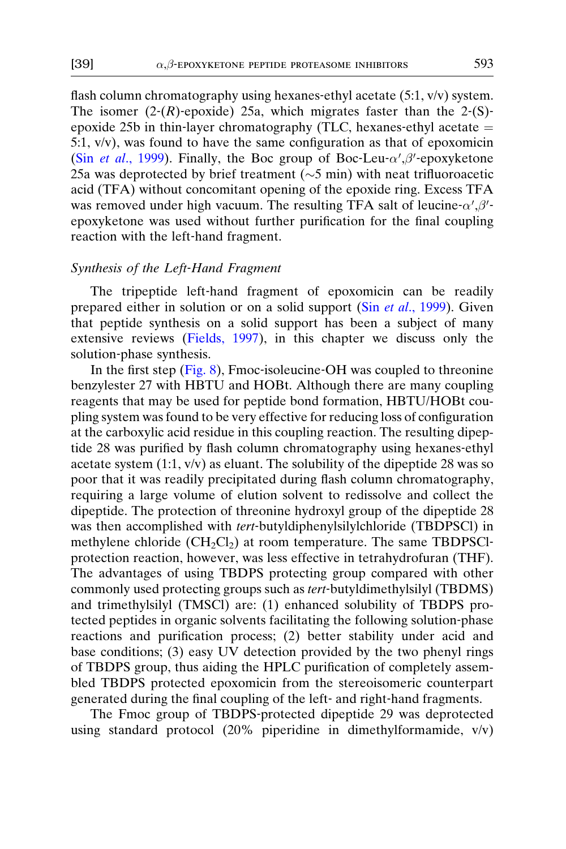flash column chromatography using hexanes-ethyl acetate (5:1, v/v) system. The isomer  $(2-(R)$ -epoxide) 25a, which migrates faster than the 2-(S)epoxide 25b in thin-layer chromatography (TLC, hexanes-ethyl acetate  $=$ 5:1, v/v), was found to have the same configuration as that of epoxomicin (Sin et al[., 1999](#page-24-0)). Finally, the Boc group of Boc-Leu- $\alpha'$ , $\beta'$ -epoxyketone 25a was deprotected by brief treatment  $(\sim 5 \text{ min})$  with neat trifluoroacetic acid (TFA) without concomitant opening of the epoxide ring. Excess TFA was removed under high vacuum. The resulting TFA salt of leucine- $\alpha', \beta'$ epoxyketone was used without further purification for the final coupling reaction with the left‐hand fragment.

## Synthesis of the Left‐Hand Fragment

The tripeptide left-hand fragment of epoxomicin can be readily prepared either in solution or on a solid support (Sin et al[., 1999](#page-24-0)). Given that peptide synthesis on a solid support has been a subject of many extensive reviews ([Fields, 1997](#page-22-0)), in this chapter we discuss only the solution‐phase synthesis.

In the first step ([Fig. 8](#page-9-0)), Fmoc‐isoleucine‐OH was coupled to threonine benzylester 27 with HBTU and HOBt. Although there are many coupling reagents that may be used for peptide bond formation, HBTU/HOBt coupling system was found to be very effective for reducing loss of configuration at the carboxylic acid residue in this coupling reaction. The resulting dipeptide 28 was purified by flash column chromatography using hexanes‐ethyl acetate system  $(1:1, v/v)$  as eluant. The solubility of the dipeptide 28 was so poor that it was readily precipitated during flash column chromatography, requiring a large volume of elution solvent to redissolve and collect the dipeptide. The protection of threonine hydroxyl group of the dipeptide 28 was then accomplished with tert-butyldiphenylsilylchloride (TBDPSCl) in methylene chloride  $(CH_2Cl_2)$  at room temperature. The same TBDPSClprotection reaction, however, was less effective in tetrahydrofuran (THF). The advantages of using TBDPS protecting group compared with other commonly used protecting groups such as *tert*-butyldimethylsilyl (TBDMS) and trimethylsilyl (TMSCl) are: (1) enhanced solubility of TBDPS protected peptides in organic solvents facilitating the following solution‐phase reactions and purification process; (2) better stability under acid and base conditions; (3) easy UV detection provided by the two phenyl rings of TBDPS group, thus aiding the HPLC purification of completely assembled TBDPS protected epoxomicin from the stereoisomeric counterpart generated during the final coupling of the left‐ and right‐hand fragments.

The Fmoc group of TBDPS‐protected dipeptide 29 was deprotected using standard protocol (20% piperidine in dimethylformamide, v/v)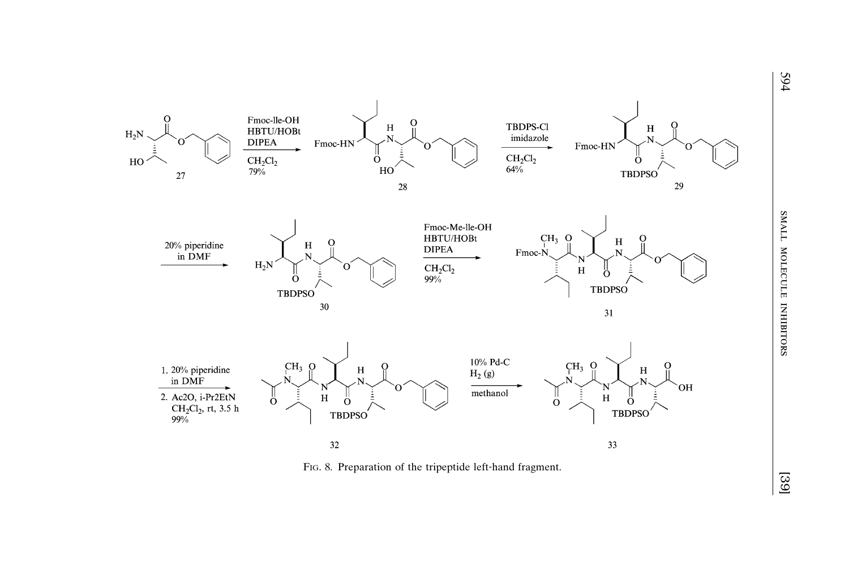<span id="page-9-0"></span>

FIG. 8. Preparation of the tripeptide left-hand fragment.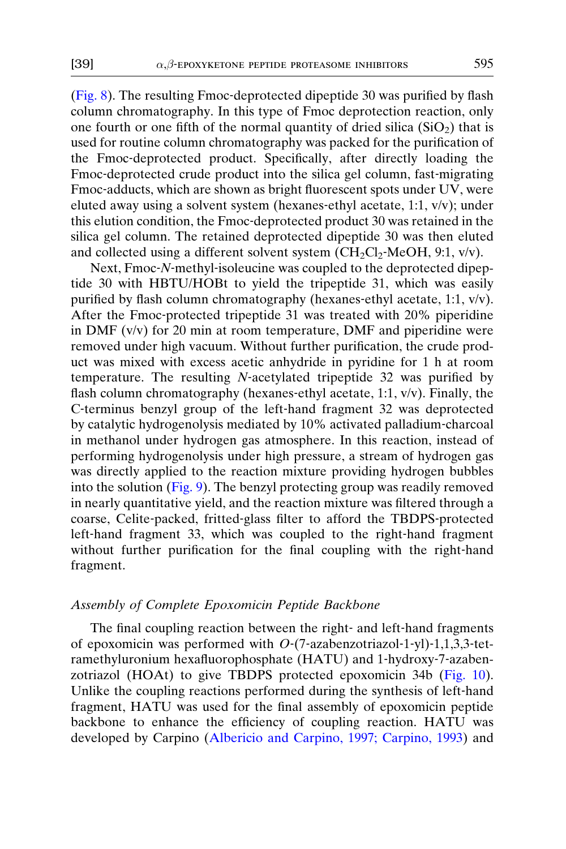([Fig. 8\)](#page-9-0). The resulting Fmoc‐deprotected dipeptide 30 was purified by flash column chromatography. In this type of Fmoc deprotection reaction, only one fourth or one fifth of the normal quantity of dried silica  $(SiO<sub>2</sub>)$  that is used for routine column chromatography was packed for the purification of the Fmoc‐deprotected product. Specifically, after directly loading the Fmoc-deprotected crude product into the silica gel column, fast-migrating Fmoc-adducts, which are shown as bright fluorescent spots under UV, were eluted away using a solvent system (hexanes‐ethyl acetate, 1:1, v/v); under this elution condition, the Fmoc‐deprotected product 30 was retained in the silica gel column. The retained deprotected dipeptide 30 was then eluted and collected using a different solvent system  $\overline{\text{CH}_2\text{Cl}_2\text{-MeOH}}$ , 9:1, v/v).

Next, Fmoc-N-methyl-isoleucine was coupled to the deprotected dipeptide 30 with HBTU/HOBt to yield the tripeptide 31, which was easily purified by flash column chromatography (hexanes‐ethyl acetate, 1:1, v/v). After the Fmoc-protected tripeptide 31 was treated with 20% piperidine in DMF (v/v) for 20 min at room temperature, DMF and piperidine were removed under high vacuum. Without further purification, the crude product was mixed with excess acetic anhydride in pyridine for 1 h at room temperature. The resulting N-acetylated tripeptide 32 was purified by flash column chromatography (hexanes‐ethyl acetate, 1:1, v/v). Finally, the C‐terminus benzyl group of the left‐hand fragment 32 was deprotected by catalytic hydrogenolysis mediated by 10% activated palladium‐charcoal in methanol under hydrogen gas atmosphere. In this reaction, instead of performing hydrogenolysis under high pressure, a stream of hydrogen gas was directly applied to the reaction mixture providing hydrogen bubbles into the solution ([Fig. 9\)](#page-11-0). The benzyl protecting group was readily removed in nearly quantitative yield, and the reaction mixture was filtered through a coarse, Celite‐packed, fritted‐glass filter to afford the TBDPS‐protected left-hand fragment 33, which was coupled to the right-hand fragment without further purification for the final coupling with the right-hand fragment.

## Assembly of Complete Epoxomicin Peptide Backbone

The final coupling reaction between the right‐ and left‐hand fragments of epoxomicin was performed with  $O$ -(7-azabenzotriazol-1-yl)-1,1,3,3-tetramethyluronium hexafluorophosphate (HATU) and 1‐hydroxy‐7‐azabenzotriazol (HOAt) to give TBDPS protected epoxomicin 34b [\(Fig. 10](#page-12-0)). Unlike the coupling reactions performed during the synthesis of left‐hand fragment, HATU was used for the final assembly of epoxomicin peptide backbone to enhance the efficiency of coupling reaction. HATU was developed by Carpino ([Albericio and Carpino, 1997; Carpino, 1993](#page-22-0)) and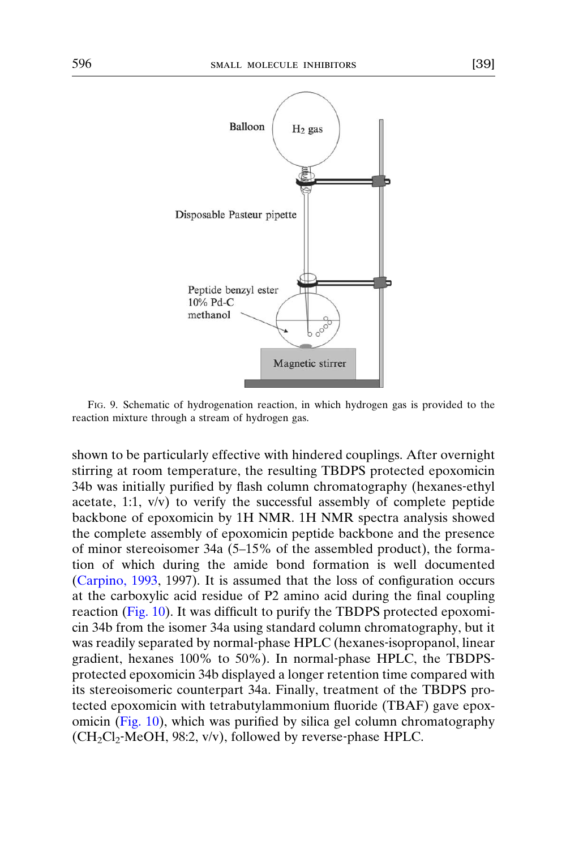<span id="page-11-0"></span>

FIG. 9. Schematic of hydrogenation reaction, in which hydrogen gas is provided to the reaction mixture through a stream of hydrogen gas.

shown to be particularly effective with hindered couplings. After overnight stirring at room temperature, the resulting TBDPS protected epoxomicin 34b was initially purified by flash column chromatography (hexanes‐ethyl acetate, 1:1, v/v) to verify the successful assembly of complete peptide backbone of epoxomicin by 1H NMR. 1H NMR spectra analysis showed the complete assembly of epoxomicin peptide backbone and the presence of minor stereoisomer 34a (5–15% of the assembled product), the formation of which during the amide bond formation is well documented ([Carpino, 1993](#page-22-0), 1997). It is assumed that the loss of configuration occurs at the carboxylic acid residue of P2 amino acid during the final coupling reaction ([Fig. 10](#page-12-0)). It was difficult to purify the TBDPS protected epoxomicin 34b from the isomer 34a using standard column chromatography, but it was readily separated by normal-phase HPLC (hexanes-isopropanol, linear gradient, hexanes 100% to 50%). In normal‐phase HPLC, the TBDPS‐ protected epoxomicin 34b displayed a longer retention time compared with its stereoisomeric counterpart 34a. Finally, treatment of the TBDPS protected epoxomicin with tetrabutylammonium fluoride (TBAF) gave epoxomicin ([Fig. 10](#page-12-0)), which was purified by silica gel column chromatography  $(CH_2Cl_2$ -MeOH, 98:2, v/v), followed by reverse-phase HPLC.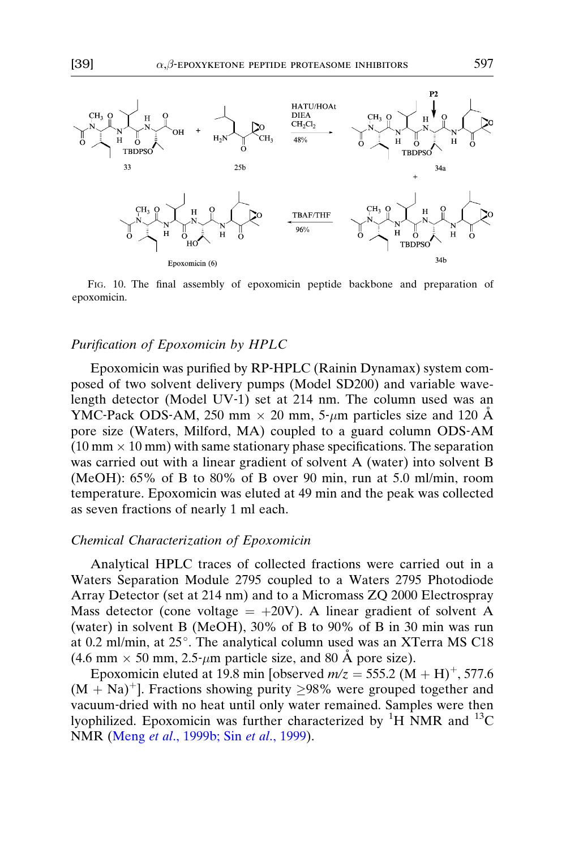<span id="page-12-0"></span>

FIG. 10. The final assembly of epoxomicin peptide backbone and preparation of epoxomicin.

## Purification of Epoxomicin by HPLC

Epoxomicin was purified by RP‐HPLC (Rainin Dynamax) system composed of two solvent delivery pumps (Model SD200) and variable wavelength detector (Model UV‐1) set at 214 nm. The column used was an YMC-Pack ODS-AM, 250 mm  $\times$  20 mm, 5- $\mu$ m particles size and 120 Å pore size (Waters, Milford, MA) coupled to a guard column ODS‐AM  $(10 \text{ mm} \times 10 \text{ mm})$  with same stationary phase specifications. The separation was carried out with a linear gradient of solvent A (water) into solvent B (MeOH): 65% of B to 80% of B over 90 min, run at 5.0 ml/min, room temperature. Epoxomicin was eluted at 49 min and the peak was collected as seven fractions of nearly 1 ml each.

## Chemical Characterization of Epoxomicin

Analytical HPLC traces of collected fractions were carried out in a Waters Separation Module 2795 coupled to a Waters 2795 Photodiode Array Detector (set at 214 nm) and to a Micromass ZQ 2000 Electrospray Mass detector (cone voltage  $= +20V$ ). A linear gradient of solvent A (water) in solvent B (MeOH), 30% of B to 90% of B in 30 min was run at 0.2 ml/min, at 25°. The analytical column used was an XTerra MS C18  $(4.6 \text{ mm} \times 50 \text{ mm}, 2.5 \text{ mm})$  particle size, and 80 Å pore size).

Epoxomicin eluted at 19.8 min [observed  $m/z = 555.2 \ (M + H)^{+}$ , 577.6  $(M + Na)^+$ ]. Fractions showing purity  $\geq 98\%$  were grouped together and vacuum‐dried with no heat until only water remained. Samples were then lyophilized. Epoxomicin was further characterized by  ${}^{1}H$  NMR and  ${}^{13}C$ NMR (Meng et al[., 1999b; Sin](#page-23-0) et al., 1999).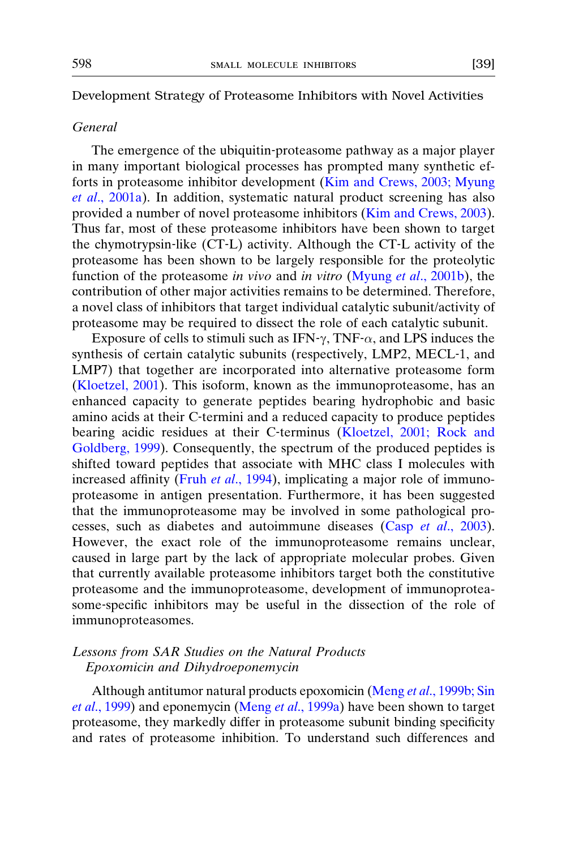#### Development Strategy of Proteasome Inhibitors with Novel Activities

## General

The emergence of the ubiquitin‐proteasome pathway as a major player in many important biological processes has prompted many synthetic efforts in proteasome inhibitor development ([Kim and Crews, 2003; Myung](#page-23-0) et al[., 2001a](#page-23-0)). In addition, systematic natural product screening has also provided a number of novel proteasome inhibitors [\(Kim and Crews, 2003](#page-23-0)). Thus far, most of these proteasome inhibitors have been shown to target the chymotrypsin‐like (CT‐L) activity. Although the CT‐L activity of the proteasome has been shown to be largely responsible for the proteolytic function of the proteasome in vivo and in vitro (Myung et al[., 2001b](#page-23-0)), the contribution of other major activities remains to be determined. Therefore, a novel class of inhibitors that target individual catalytic subunit/activity of proteasome may be required to dissect the role of each catalytic subunit.

Exposure of cells to stimuli such as IFN- $\gamma$ , TNF- $\alpha$ , and LPS induces the synthesis of certain catalytic subunits (respectively, LMP2, MECL‐1, and LMP7) that together are incorporated into alternative proteasome form ([Kloetzel, 2001\)](#page-23-0). This isoform, known as the immunoproteasome, has an enhanced capacity to generate peptides bearing hydrophobic and basic amino acids at their C‐termini and a reduced capacity to produce peptides bearing acidic residues at their C-terminus ([Kloetzel, 2001; Rock and](#page-23-0) [Goldberg, 1999](#page-23-0)). Consequently, the spectrum of the produced peptides is shifted toward peptides that associate with MHC class I molecules with increased affinity (Fruh et al[., 1994\)](#page-22-0), implicating a major role of immunoproteasome in antigen presentation. Furthermore, it has been suggested that the immunoproteasome may be involved in some pathological pro-cesses, such as diabetes and autoimmune diseases (Casp et al[., 2003](#page-22-0)). However, the exact role of the immunoproteasome remains unclear, caused in large part by the lack of appropriate molecular probes. Given that currently available proteasome inhibitors target both the constitutive proteasome and the immunoproteasome, development of immunoproteasome‐specific inhibitors may be useful in the dissection of the role of immunoproteasomes.

## Lessons from SAR Studies on the Natural Products Epoxomicin and Dihydroeponemycin

Although antitumor natural products epoxomicin (Meng et al[., 1999b; Sin](#page-23-0) et al[., 1999](#page-23-0)) and eponemycin (Meng et al[., 1999a](#page-23-0)) have been shown to target proteasome, they markedly differ in proteasome subunit binding specificity and rates of proteasome inhibition. To understand such differences and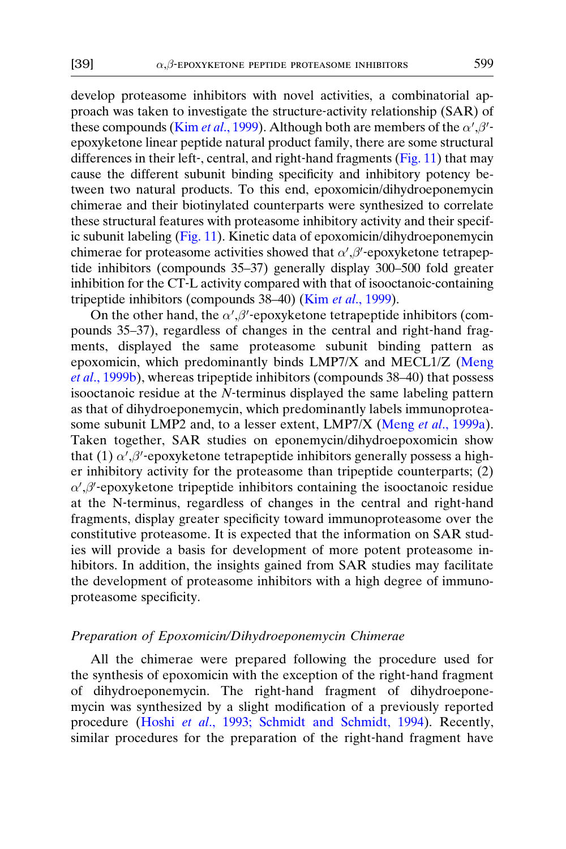develop proteasome inhibitors with novel activities, a combinatorial approach was taken to investigate the structure‐activity relationship (SAR) of these compounds (Kim *et al.*, 1999). Although both are members of the  $\alpha', \beta'$ epoxyketone linear peptide natural product family, there are some structural differences in their left‐, central, and right‐hand fragments [\(Fig. 11](#page-15-0)) that may cause the different subunit binding specificity and inhibitory potency between two natural products. To this end, epoxomicin/dihydroeponemycin chimerae and their biotinylated counterparts were synthesized to correlate these structural features with proteasome inhibitory activity and their specific subunit labeling [\(Fig. 11\)](#page-15-0). Kinetic data of epoxomicin/dihydroeponemycin chimerae for proteasome activities showed that  $\alpha', \beta'$ -epoxyketone tetrapeptide inhibitors (compounds 35–37) generally display 300–500 fold greater inhibition for the CT‐L activity compared with that of isooctanoic‐containing tripeptide inhibitors (compounds 38–40) (Kim et al[., 1999\)](#page-23-0).

On the other hand, the  $\alpha'$ ,  $\beta'$ -epoxyketone tetrapeptide inhibitors (compounds 35–37), regardless of changes in the central and right‐hand fragments, displayed the same proteasome subunit binding pattern as epoxomicin, which predominantly binds LMP7/X and MECL1/Z ([Meng](#page-23-0) et al[., 1999b](#page-23-0)), whereas tripeptide inhibitors (compounds 38–40) that possess isooctanoic residue at the  $N$ -terminus displayed the same labeling pattern as that of dihydroeponemycin, which predominantly labels immunoprotea-some subunit LMP2 and, to a lesser extent, LMP7/X (Meng et al[., 1999a](#page-23-0)). Taken together, SAR studies on eponemycin/dihydroepoxomicin show that (1)  $\alpha'$ ,  $\beta'$ -epoxyketone tetrapeptide inhibitors generally possess a higher inhibitory activity for the proteasome than tripeptide counterparts; (2)  $\alpha', \beta'$ -epoxyketone tripeptide inhibitors containing the isooctanoic residue at the N‐terminus, regardless of changes in the central and right‐hand fragments, display greater specificity toward immunoproteasome over the constitutive proteasome. It is expected that the information on SAR studies will provide a basis for development of more potent proteasome inhibitors. In addition, the insights gained from SAR studies may facilitate the development of proteasome inhibitors with a high degree of immunoproteasome specificity.

## Preparation of Epoxomicin/Dihydroeponemycin Chimerae

All the chimerae were prepared following the procedure used for the synthesis of epoxomicin with the exception of the right‐hand fragment of dihydroeponemycin. The right‐hand fragment of dihydroeponemycin was synthesized by a slight modification of a previously reported procedure (Hoshi et al[., 1993; Schmidt and Schmidt, 1994\)](#page-23-0). Recently, similar procedures for the preparation of the right‐hand fragment have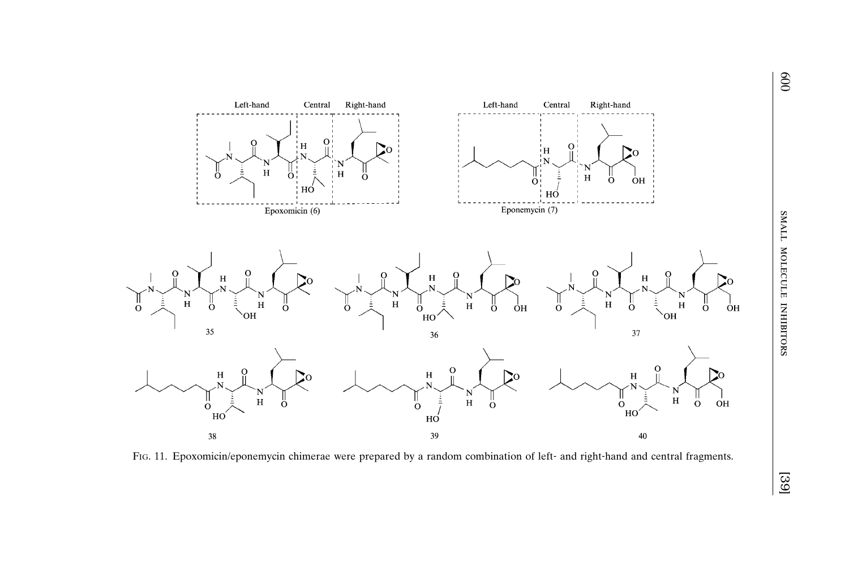<span id="page-15-0"></span>

FIG. 11. Epoxomicin/eponemycin chimerae were prepared by a random combination of left- and right-hand and central fragments.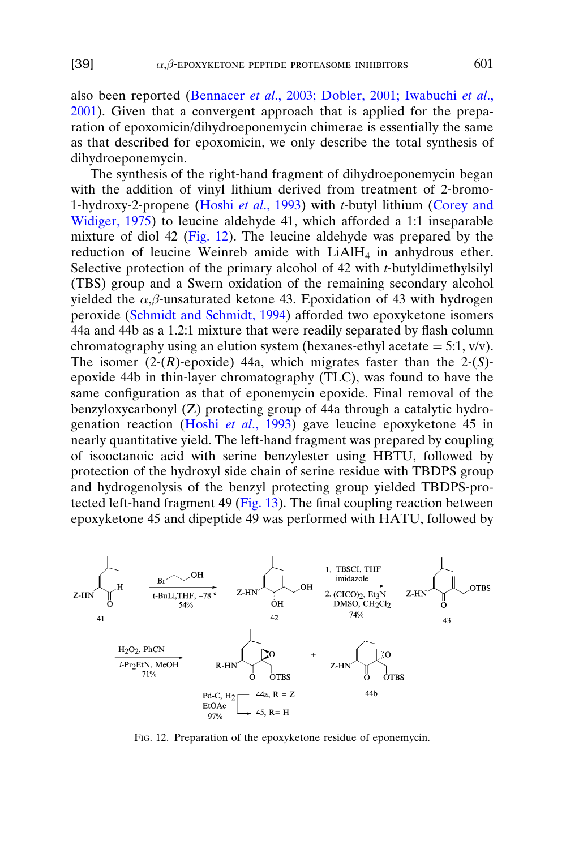also been reported (Bennacer et al[., 2003; Dobler, 2001; Iwabuchi](#page-22-0) et al., [2001\)](#page-22-0). Given that a convergent approach that is applied for the preparation of epoxomicin/dihydroeponemycin chimerae is essentially the same as that described for epoxomicin, we only describe the total synthesis of dihydroeponemycin.

The synthesis of the right-hand fragment of dihydroeponemycin began with the addition of vinyl lithium derived from treatment of 2-bromo-1-hydroxy-2-propene (Hoshi et al[., 1993\)](#page-23-0) with t-butyl lithium ([Corey and](#page-22-0) [Widiger, 1975](#page-22-0)) to leucine aldehyde 41, which afforded a 1:1 inseparable mixture of diol 42 (Fig. 12). The leucine aldehyde was prepared by the reduction of leucine Weinreb amide with  $LiAlH<sub>4</sub>$  in anhydrous ether. Selective protection of the primary alcohol of 42 with t-butyldimethylsilyl (TBS) group and a Swern oxidation of the remaining secondary alcohol yielded the  $\alpha$ , $\beta$ -unsaturated ketone 43. Epoxidation of 43 with hydrogen peroxide [\(Schmidt and Schmidt, 1994](#page-24-0)) afforded two epoxyketone isomers 44a and 44b as a 1.2:1 mixture that were readily separated by flash column chromatography using an elution system (hexanes-ethyl acetate  $= 5:1$ , v/v). The isomer  $(2-(R)$ -epoxide) 44a, which migrates faster than the 2- $(S)$ epoxide 44b in thin‐layer chromatography (TLC), was found to have the same configuration as that of eponemycin epoxide. Final removal of the benzyloxycarbonyl (Z) protecting group of 44a through a catalytic hydro-genation reaction (Hoshi et al[., 1993](#page-23-0)) gave leucine epoxyketone 45 in nearly quantitative yield. The left‐hand fragment was prepared by coupling of isooctanoic acid with serine benzylester using HBTU, followed by protection of the hydroxyl side chain of serine residue with TBDPS group and hydrogenolysis of the benzyl protecting group yielded TBDPS‐pro-tected left-hand fragment 49 [\(Fig. 13](#page-17-0)). The final coupling reaction between epoxyketone 45 and dipeptide 49 was performed with HATU, followed by



FIG. 12. Preparation of the epoxyketone residue of eponemycin.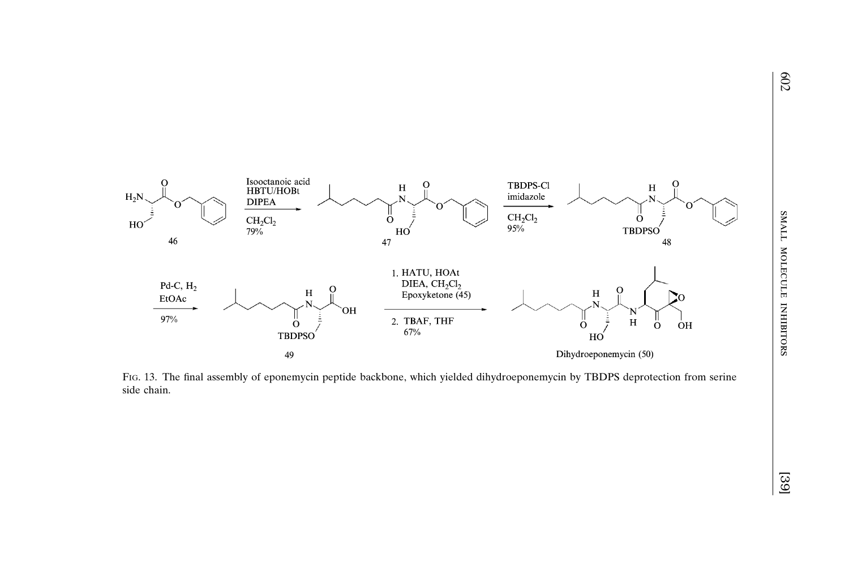<span id="page-17-0"></span>

FIG. 13. The final assembly of eponemycin peptide backbone, which yielded dihydroeponemycin by TBDPS deprotection from serine side chain.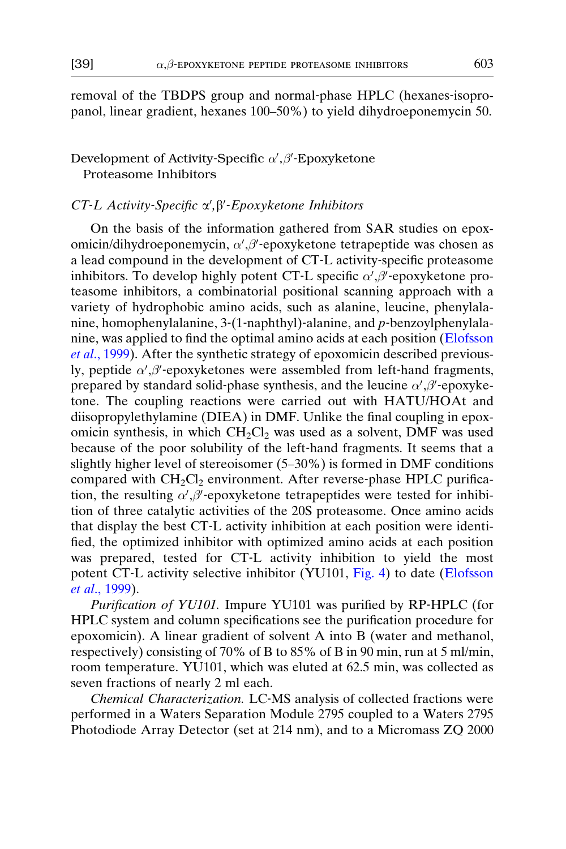removal of the TBDPS group and normal‐phase HPLC (hexanes‐isopropanol, linear gradient, hexanes 100–50%) to yield dihydroeponemycin 50.

## Development of Activity-Specific  $\alpha^{\prime}, \beta^{\prime}$ -Epoxyketone Proteasome Inhibitors

# $CT$ -L Activity-Specific  $\alpha'$ ,  $\beta'$ -Epoxyketone Inhibitors

On the basis of the information gathered from SAR studies on epoxomicin/dihydroeponemycin,  $\alpha'$ , $\beta'$ -epoxyketone tetrapeptide was chosen as a lead compound in the development of CT‐L activity‐specific proteasome inhibitors. To develop highly potent CT-L specific  $\alpha', \beta'$ -epoxyketone proteasome inhibitors, a combinatorial positional scanning approach with a variety of hydrophobic amino acids, such as alanine, leucine, phenylalanine, homophenylalanine, 3‐(1‐naphthyl)‐alanine, and p‐benzoylphenylalanine, was applied to find the optimal amino acids at each position [\(Elofsson](#page-22-0) et al[., 1999\)](#page-22-0). After the synthetic strategy of epoxomicin described previously, peptide  $\alpha', \beta'$ -epoxyketones were assembled from left-hand fragments, prepared by standard solid-phase synthesis, and the leucine  $\alpha', \beta'$ -epoxyketone. The coupling reactions were carried out with HATU/HOAt and diisopropylethylamine (DIEA) in DMF. Unlike the final coupling in epoxomicin synthesis, in which  $CH_2Cl_2$  was used as a solvent, DMF was used because of the poor solubility of the left‐hand fragments. It seems that a slightly higher level of stereoisomer (5–30%) is formed in DMF conditions compared with  $CH_2Cl_2$  environment. After reverse-phase HPLC purification, the resulting  $\alpha', \beta'$ -epoxyketone tetrapeptides were tested for inhibition of three catalytic activities of the 20S proteasome. Once amino acids that display the best CT‐L activity inhibition at each position were identified, the optimized inhibitor with optimized amino acids at each position was prepared, tested for CT-L activity inhibition to yield the most potent CT-L activity selective inhibitor  $(YU101, Fig. 4)$  $(YU101, Fig. 4)$  $(YU101, Fig. 4)$  to date [\(Elofsson](#page-22-0) et al[., 1999](#page-22-0)).

Purification of YU101. Impure YU101 was purified by RP-HPLC (for HPLC system and column specifications see the purification procedure for epoxomicin). A linear gradient of solvent A into B (water and methanol, respectively) consisting of 70% of B to 85% of B in 90 min, run at 5 ml/min, room temperature. YU101, which was eluted at 62.5 min, was collected as seven fractions of nearly 2 ml each.

Chemical Characterization. LC‐MS analysis of collected fractions were performed in a Waters Separation Module 2795 coupled to a Waters 2795 Photodiode Array Detector (set at 214 nm), and to a Micromass ZQ 2000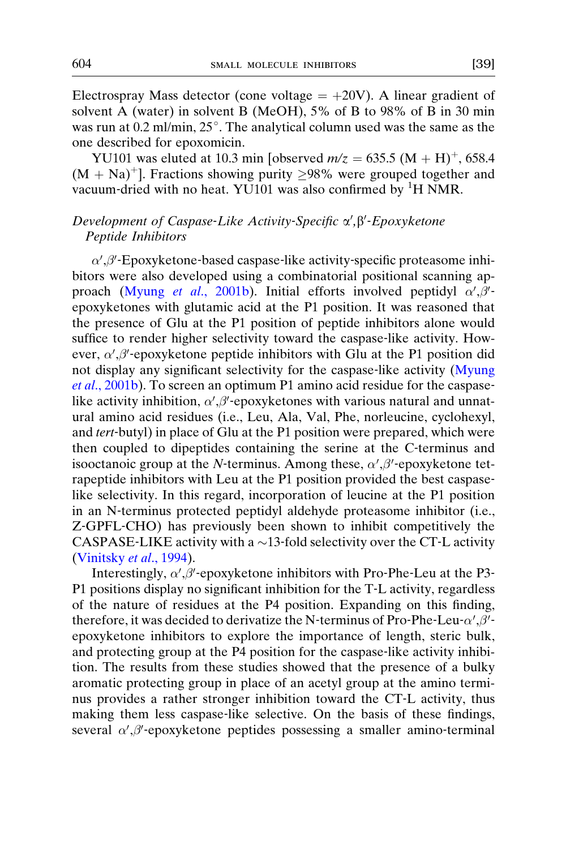Electrospray Mass detector (cone voltage  $= +20V$ ). A linear gradient of solvent A (water) in solvent B (MeOH), 5% of B to 98% of B in 30 min was run at  $0.2$  ml/min,  $25^{\circ}$ . The analytical column used was the same as the one described for epoxomicin.

YU101 was eluted at 10.3 min [observed  $m/z = 635.5 \ (M + H)^{+}$ , 658.4  $(M + Na)^+$ ]. Fractions showing purity  $\geq 98\%$  were grouped together and vacuum-dried with no heat. YU101 was also confirmed by  ${}^{1}H$  NMR.

## Development of Caspase-Like Activity-Specific  $\alpha', \beta'$ -Epoxyketone<br>Pentide Inhibitors Peptide Inhibitors

 $\alpha', \beta'$ -Epoxyketone-based caspase-like activity-specific proteasome inhibitors were also developed using a combinatorial positional scanning ap-proach (Myung et al[., 2001b](#page-23-0)). Initial efforts involved peptidyl  $\alpha', \beta'$ epoxyketones with glutamic acid at the P1 position. It was reasoned that the presence of Glu at the P1 position of peptide inhibitors alone would suffice to render higher selectivity toward the caspase-like activity. However,  $\alpha', \beta'$ -epoxyketone peptide inhibitors with Glu at the P1 position did not display any significant selectivity for the caspase-like activity [\(Myung](#page-23-0) et al[., 2001b](#page-23-0)). To screen an optimum P1 amino acid residue for the caspaselike activity inhibition,  $\alpha', \beta'$ -epoxyketones with various natural and unnatural amino acid residues (i.e., Leu, Ala, Val, Phe, norleucine, cyclohexyl, and tert-butyl) in place of Glu at the P1 position were prepared, which were then coupled to dipeptides containing the serine at the C‐terminus and isooctanoic group at the N-terminus. Among these,  $\alpha', \beta'$ -epoxyketone tetrapeptide inhibitors with Leu at the P1 position provided the best caspase‐ like selectivity. In this regard, incorporation of leucine at the P1 position in an N‐terminus protected peptidyl aldehyde proteasome inhibitor (i.e., Z‐GPFL‐CHO) has previously been shown to inhibit competitively the CASPASE-LIKE activity with a  $\sim$  13-fold selectivity over the CT-L activity ([Vinitsky](#page-24-0) et al., 1994).

Interestingly,  $\alpha', \beta'$ -epoxyketone inhibitors with Pro-Phe-Leu at the P3-P1 positions display no significant inhibition for the T-L activity, regardless of the nature of residues at the P4 position. Expanding on this finding, therefore, it was decided to derivatize the N-terminus of Pro-Phe-Leu- $\alpha', \beta'$ epoxyketone inhibitors to explore the importance of length, steric bulk, and protecting group at the P4 position for the caspase‐like activity inhibition. The results from these studies showed that the presence of a bulky aromatic protecting group in place of an acetyl group at the amino terminus provides a rather stronger inhibition toward the CT‐L activity, thus making them less caspase‐like selective. On the basis of these findings, several  $\alpha', \beta'$ -epoxyketone peptides possessing a smaller amino-terminal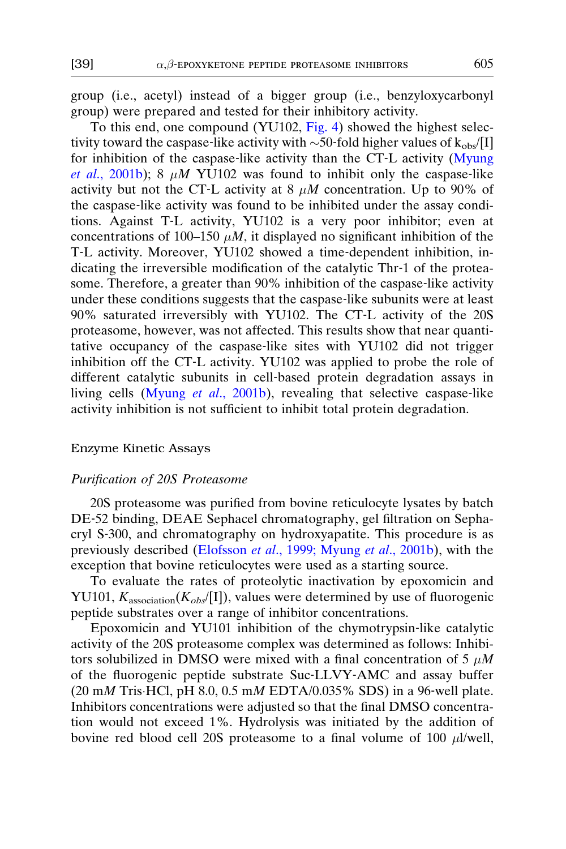group (i.e., acetyl) instead of a bigger group (i.e., benzyloxycarbonyl group) were prepared and tested for their inhibitory activity.

To this end, one compound (YU102, [Fig. 4](#page-4-0)) showed the highest selectivity toward the caspase-like activity with  $\sim$ 50-fold higher values of k<sub>obs</sub>/[I] for inhibition of the caspase‐like activity than the CT‐L activity [\(Myung](#page-23-0) et al[., 2001b\)](#page-23-0); 8  $\mu$ M YU102 was found to inhibit only the caspase-like activity but not the CT-L activity at 8  $\mu$ M concentration. Up to 90% of the caspase‐like activity was found to be inhibited under the assay conditions. Against T‐L activity, YU102 is a very poor inhibitor; even at concentrations of 100–150  $\mu$ *M*, it displayed no significant inhibition of the T‐L activity. Moreover, YU102 showed a time‐dependent inhibition, indicating the irreversible modification of the catalytic Thr‐1 of the proteasome. Therefore, a greater than 90% inhibition of the caspase-like activity under these conditions suggests that the caspase‐like subunits were at least 90% saturated irreversibly with YU102. The CT‐L activity of the 20S proteasome, however, was not affected. This results show that near quantitative occupancy of the caspase‐like sites with YU102 did not trigger inhibition off the CT‐L activity. YU102 was applied to probe the role of different catalytic subunits in cell‐based protein degradation assays in living cells (Myung et al[., 2001b](#page-23-0)), revealing that selective caspase-like activity inhibition is not sufficient to inhibit total protein degradation.

## Enzyme Kinetic Assays

#### Purification of 20S Proteasome

20S proteasome was purified from bovine reticulocyte lysates by batch DE‐52 binding, DEAE Sephacel chromatography, gel filtration on Sephacryl S‐300, and chromatography on hydroxyapatite. This procedure is as previously described (Elofsson et al[., 1999; Myung](#page-22-0) et al., 2001b), with the exception that bovine reticulocytes were used as a starting source.

To evaluate the rates of proteolytic inactivation by epoxomicin and YU101,  $K_{\text{association}}(K_{\text{obs}}/[I])$ , values were determined by use of fluorogenic peptide substrates over a range of inhibitor concentrations.

Epoxomicin and YU101 inhibition of the chymotrypsin‐like catalytic activity of the 20S proteasome complex was determined as follows: Inhibitors solubilized in DMSO were mixed with a final concentration of 5  $\mu$ M of the fluorogenic peptide substrate Suc‐LLVY‐AMC and assay buffer  $(20 \text{ mM Tris-HCl}, \text{pH } 8.0, 0.5 \text{ mM EDTA}/0.035\%$  SDS) in a 96-well plate. Inhibitors concentrations were adjusted so that the final DMSO concentration would not exceed 1%. Hydrolysis was initiated by the addition of bovine red blood cell 20S proteasome to a final volume of 100  $\mu$ l/well,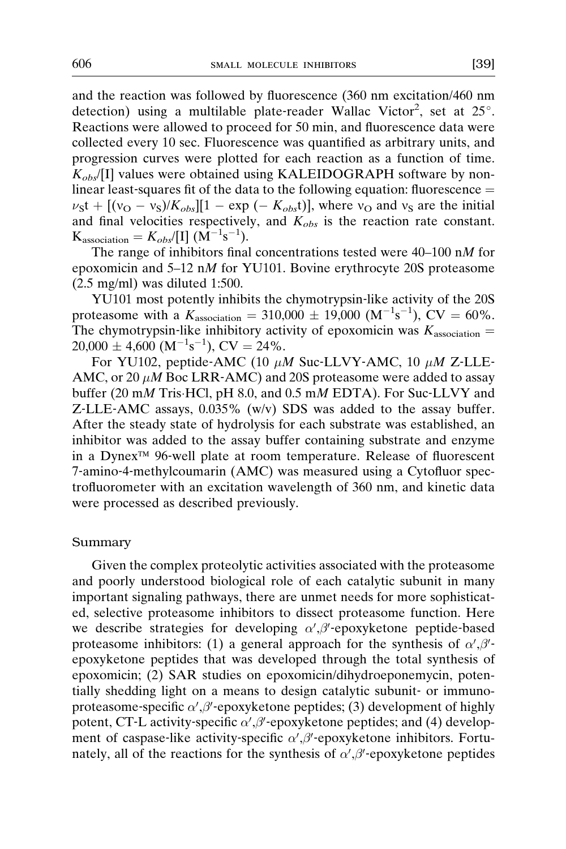and the reaction was followed by fluorescence (360 nm excitation/460 nm detection) using a multilable plate-reader Wallac Victor<sup>2</sup>, set at  $25^\circ$ . Reactions were allowed to proceed for 50 min, and fluorescence data were collected every 10 sec. Fluorescence was quantified as arbitrary units, and progression curves were plotted for each reaction as a function of time.  $K_{obs}$ [I] values were obtained using KALEIDOGRAPH software by nonlinear least-squares fit of the data to the following equation: fluorescence  $=$  $v<sub>S</sub>t + [(v<sub>O</sub> - v<sub>S</sub>)/K<sub>obs</sub>][1 - exp (- K<sub>obs</sub>t)],$  where  $v<sub>O</sub>$  and  $v<sub>S</sub>$  are the initial and final velocities respectively, and  $K_{obs}$  is the reaction rate constant.  $K_{\text{association}} = K_{obs} / [I] (\dot{M}^{-1} s^{-1}).$ 

The range of inhibitors final concentrations tested were 40–100 nM for epoxomicin and 5–12 nM for YU101. Bovine erythrocyte 20S proteasome (2.5 mg/ml) was diluted 1:500.

YU101 most potently inhibits the chymotrypsin‐like activity of the 20S proteasome with a  $K_{\text{association}} = 310,000 \pm 19,000 \text{ (M}^{-1}\text{s}^{-1})$ , CV = 60%. The chymotrypsin-like inhibitory activity of epoxomicin was  $K_{\text{association}} =$  $20,000 \pm 4,600 \ (M^{-1}s^{-1}), CV = 24\%.$ 

For YU102, peptide-AMC (10  $\mu$ M Suc-LLVY-AMC, 10  $\mu$ M Z-LLE-AMC, or 20  $\mu$ M Boc LRR-AMC) and 20S proteasome were added to assay buffer (20 mM Tris HCl, pH 8.0, and 0.5 mM EDTA). For Suc-LLVY and Z-LLE-AMC assays, 0.035% (w/v) SDS was added to the assay buffer. After the steady state of hydrolysis for each substrate was established, an inhibitor was added to the assay buffer containing substrate and enzyme in a Dynex<sup>™</sup> 96-well plate at room temperature. Release of fluorescent 7‐amino‐4‐methylcoumarin (AMC) was measured using a Cytofluor spectrofluorometer with an excitation wavelength of 360 nm, and kinetic data were processed as described previously.

## Summary

Given the complex proteolytic activities associated with the proteasome and poorly understood biological role of each catalytic subunit in many important signaling pathways, there are unmet needs for more sophisticated, selective proteasome inhibitors to dissect proteasome function. Here we describe strategies for developing  $\alpha', \beta'$ -epoxyketone peptide-based proteasome inhibitors: (1) a general approach for the synthesis of  $\alpha', \beta'$ epoxyketone peptides that was developed through the total synthesis of epoxomicin; (2) SAR studies on epoxomicin/dihydroeponemycin, potentially shedding light on a means to design catalytic subunit‐ or immunoproteasome-specific  $\alpha', \beta'$ -epoxyketone peptides; (3) development of highly potent, CT-L activity-specific  $\alpha', \beta'$ -epoxyketone peptides; and (4) development of caspase-like activity-specific  $\alpha', \beta'$ -epoxyketone inhibitors. Fortunately, all of the reactions for the synthesis of  $\alpha', \beta'$ -epoxyketone peptides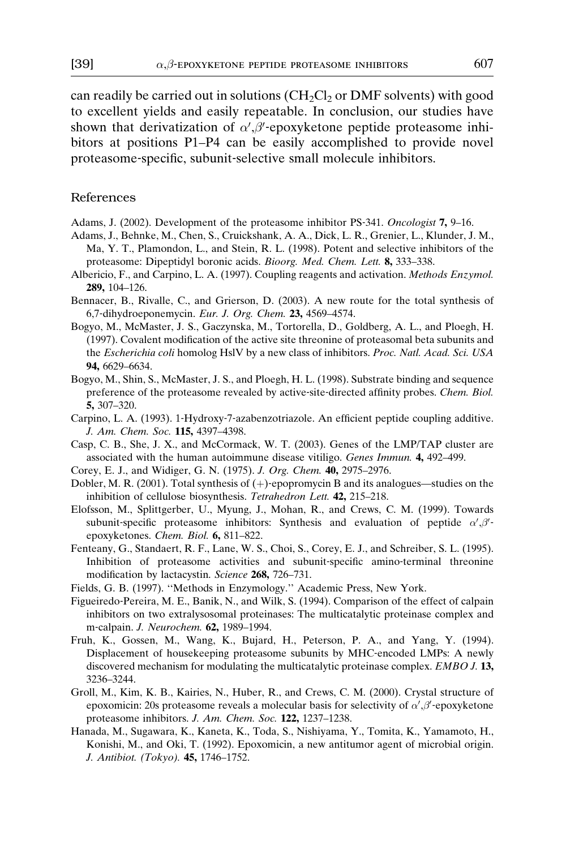<span id="page-22-0"></span>can readily be carried out in solutions  $(CH_2Cl_2$  or DMF solvents) with good to excellent yields and easily repeatable. In conclusion, our studies have shown that derivatization of  $\alpha', \beta'$ -epoxyketone peptide proteasome inhibitors at positions P1–P4 can be easily accomplished to provide novel proteasome‐specific, subunit‐selective small molecule inhibitors.

## References

- Adams, J. (2002). Development of the proteasome inhibitor PS‐341. Oncologist 7, 9–16.
- Adams, J., Behnke, M., Chen, S., Cruickshank, A. A., Dick, L. R., Grenier, L., Klunder, J. M., Ma, Y. T., Plamondon, L., and Stein, R. L. (1998). Potent and selective inhibitors of the proteasome: Dipeptidyl boronic acids. Bioorg. Med. Chem. Lett. 8, 333–338.
- Albericio, F., and Carpino, L. A. (1997). Coupling reagents and activation. Methods Enzymol. 289, 104–126.
- Bennacer, B., Rivalle, C., and Grierson, D. (2003). A new route for the total synthesis of 6,7‐dihydroeponemycin. Eur. J. Org. Chem. 23, 4569–4574.
- Bogyo, M., McMaster, J. S., Gaczynska, M., Tortorella, D., Goldberg, A. L., and Ploegh, H. (1997). Covalent modification of the active site threonine of proteasomal beta subunits and the Escherichia coli homolog HslV by a new class of inhibitors. Proc. Natl. Acad. Sci. USA 94, 6629–6634.
- Bogyo, M., Shin, S., McMaster, J. S., and Ploegh, H. L. (1998). Substrate binding and sequence preference of the proteasome revealed by active-site-directed affinity probes. Chem. Biol. 5, 307–320.
- Carpino, L. A. (1993). 1‐Hydroxy‐7‐azabenzotriazole. An efficient peptide coupling additive. J. Am. Chem. Soc. 115, 4397–4398.
- Casp, C. B., She, J. X., and McCormack, W. T. (2003). Genes of the LMP/TAP cluster are associated with the human autoimmune disease vitiligo. Genes Immun. 4, 492–499.
- Corey, E. J., and Widiger, G. N. (1975). J. Org. Chem. 40, 2975–2976.
- Dobler, M. R. (2001). Total synthesis of  $(+)$ -epopromycin B and its analogues—studies on the inhibition of cellulose biosynthesis. Tetrahedron Lett. 42, 215-218.
- Elofsson, M., Splittgerber, U., Myung, J., Mohan, R., and Crews, C. M. (1999). Towards subunit-specific proteasome inhibitors: Synthesis and evaluation of peptide  $\alpha'$ ,  $\beta'$ epoxyketones. Chem. Biol. 6, 811–822.
- Fenteany, G., Standaert, R. F., Lane, W. S., Choi, S., Corey, E. J., and Schreiber, S. L. (1995). Inhibition of proteasome activities and subunit‐specific amino‐terminal threonine modification by lactacystin. Science 268, 726–731.
- Fields, G. B. (1997). ''Methods in Enzymology.'' Academic Press, New York.
- Figueiredo‐Pereira, M. E., Banik, N., and Wilk, S. (1994). Comparison of the effect of calpain inhibitors on two extralysosomal proteinases: The multicatalytic proteinase complex and m-calpain. J. Neurochem. 62, 1989-1994.
- Fruh, K., Gossen, M., Wang, K., Bujard, H., Peterson, P. A., and Yang, Y. (1994). Displacement of housekeeping proteasome subunits by MHC‐encoded LMPs: A newly discovered mechanism for modulating the multicatalytic proteinase complex. EMBO J. 13, 3236–3244.
- Groll, M., Kim, K. B., Kairies, N., Huber, R., and Crews, C. M. (2000). Crystal structure of epoxomicin: 20s proteasome reveals a molecular basis for selectivity of  $\alpha'$ ,  $\beta'$ -epoxyketone proteasome inhibitors. J. Am. Chem. Soc. 122, 1237-1238.
- Hanada, M., Sugawara, K., Kaneta, K., Toda, S., Nishiyama, Y., Tomita, K., Yamamoto, H., Konishi, M., and Oki, T. (1992). Epoxomicin, a new antitumor agent of microbial origin. J. Antibiot. (Tokyo). 45, 1746–1752.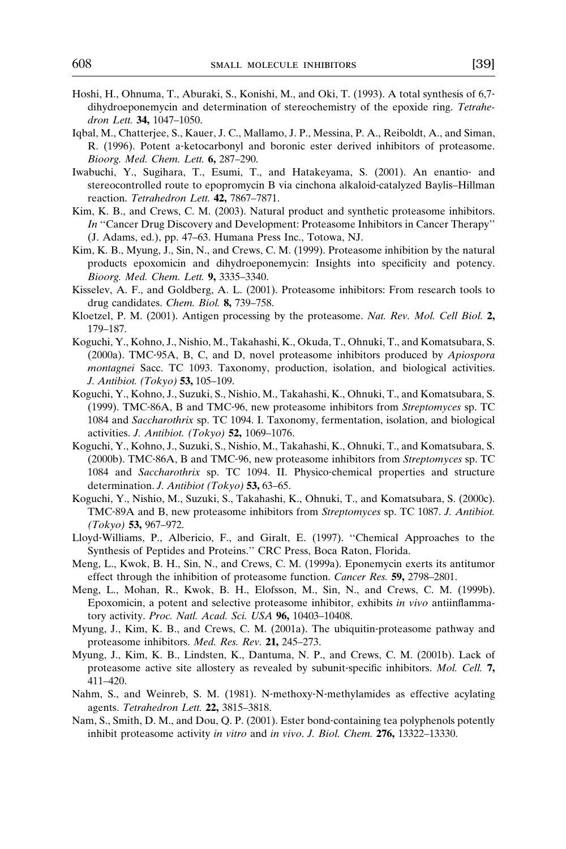- <span id="page-23-0"></span>Hoshi, H., Ohnuma, T., Aburaki, S., Konishi, M., and Oki, T. (1993). A total synthesis of 6,7‐ dihydroeponemycin and determination of stereochemistry of the epoxide ring. Tetrahedron Lett. 34, 1047–1050.
- Iqbal, M., Chatterjee, S., Kauer, J. C., Mallamo, J. P., Messina, P. A., Reiboldt, A., and Siman, R. (1996). Potent a‐ketocarbonyl and boronic ester derived inhibitors of proteasome. Bioorg. Med. Chem. Lett. 6, 287–290.
- Iwabuchi, Y., Sugihara, T., Esumi, T., and Hatakeyama, S. (2001). An enantio‐ and stereocontrolled route to epopromycin B via cinchona alkaloid‐catalyzed Baylis–Hillman reaction. Tetrahedron Lett. 42, 7867-7871.
- Kim, K. B., and Crews, C. M. (2003). Natural product and synthetic proteasome inhibitors. In ''Cancer Drug Discovery and Development: Proteasome Inhibitors in Cancer Therapy'' (J. Adams, ed.), pp. 47–63. Humana Press Inc., Totowa, NJ.
- Kim, K. B., Myung, J., Sin, N., and Crews, C. M. (1999). Proteasome inhibition by the natural products epoxomicin and dihydroeponemycin: Insights into specificity and potency. Bioorg. Med. Chem. Lett. 9, 3335–3340.
- Kisselev, A. F., and Goldberg, A. L. (2001). Proteasome inhibitors: From research tools to drug candidates. Chem. Biol. 8, 739–758.
- Kloetzel, P. M. (2001). Antigen processing by the proteasome. Nat. Rev. Mol. Cell Biol. 2, 179–187.
- Koguchi, Y., Kohno, J., Nishio, M., Takahashi, K., Okuda, T., Ohnuki, T., and Komatsubara, S. (2000a). TMC‐95A, B, C, and D, novel proteasome inhibitors produced by Apiospora montagnei Sacc. TC 1093. Taxonomy, production, isolation, and biological activities. J. Antibiot. (Tokyo) 53, 105–109.
- Koguchi, Y., Kohno, J., Suzuki, S., Nishio, M., Takahashi, K., Ohnuki, T., and Komatsubara, S. (1999). TMC‐86A, B and TMC‐96, new proteasome inhibitors from Streptomyces sp. TC 1084 and Saccharothrix sp. TC 1094. I. Taxonomy, fermentation, isolation, and biological activities. J. Antibiot. (Tokyo) 52, 1069–1076.
- Koguchi, Y., Kohno, J., Suzuki, S., Nishio, M., Takahashi, K., Ohnuki, T., and Komatsubara, S. (2000b). TMC‐86A, B and TMC‐96, new proteasome inhibitors from Streptomyces sp. TC 1084 and Saccharothrix sp. TC 1094. II. Physico-chemical properties and structure determination. *J. Antibiot (Tokyo)* 53, 63–65.
- Koguchi, Y., Nishio, M., Suzuki, S., Takahashi, K., Ohnuki, T., and Komatsubara, S. (2000c). TMC-89A and B, new proteasome inhibitors from Streptomyces sp. TC 1087. J. Antibiot. (Tokyo) 53, 967–972.
- Lloyd‐Williams, P., Albericio, F., and Giralt, E. (1997). ''Chemical Approaches to the Synthesis of Peptides and Proteins.'' CRC Press, Boca Raton, Florida.
- Meng, L., Kwok, B. H., Sin, N., and Crews, C. M. (1999a). Eponemycin exerts its antitumor effect through the inhibition of proteasome function. Cancer Res. 59, 2798–2801.
- Meng, L., Mohan, R., Kwok, B. H., Elofsson, M., Sin, N., and Crews, C. M. (1999b). Epoxomicin, a potent and selective proteasome inhibitor, exhibits in vivo antiinflammatory activity. Proc. Natl. Acad. Sci. USA 96, 10403-10408.
- Myung, J., Kim, K. B., and Crews, C. M. (2001a). The ubiquitin‐proteasome pathway and proteasome inhibitors. Med. Res. Rev. 21, 245–273.
- Myung, J., Kim, K. B., Lindsten, K., Dantuma, N. P., and Crews, C. M. (2001b). Lack of proteasome active site allostery as revealed by subunit-specific inhibitors. Mol. Cell. 7, 411–420.
- Nahm, S., and Weinreb, S. M. (1981). N-methoxy-N-methylamides as effective acylating agents. Tetrahedron Lett. 22, 3815–3818.
- Nam, S., Smith, D. M., and Dou, Q. P. (2001). Ester bond‐containing tea polyphenols potently inhibit proteasome activity in vitro and in vivo. J. Biol. Chem. 276, 13322–13330.